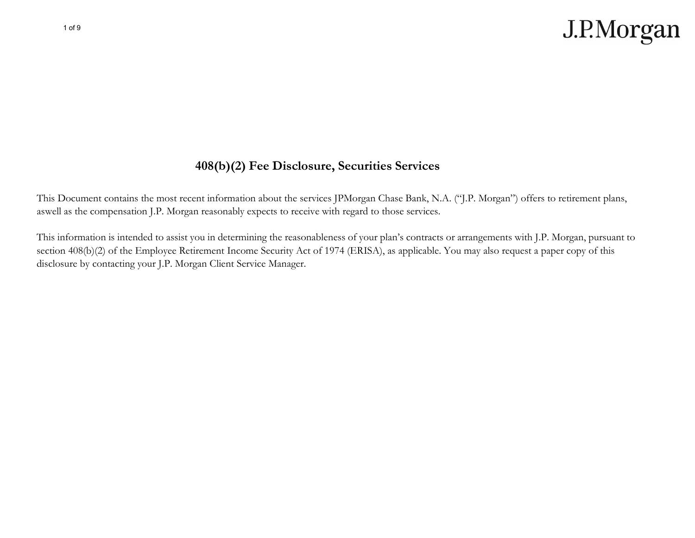

#### **408(b)(2) Fee Disclosure, Securities Services**

This Document contains the most recent information about the services JPMorgan Chase Bank, N.A. ("J.P. Morgan") offers to retirement plans, aswell as the compensation J.P. Morgan reasonably expects to receive with regard to those services.

This information is intended to assist you in determining the reasonableness of your plan's contracts or arrangements with J.P. Morgan, pursuant to section 408(b)(2) of the Employee Retirement Income Security Act of 1974 (ERISA), as applicable. You may also request a paper copy of this disclosure by contacting your J.P. Morgan Client Service Manager.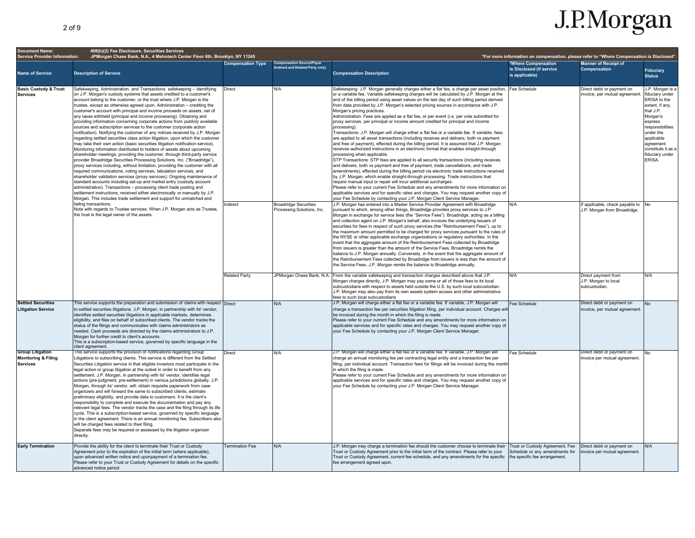| <b>Document Name:</b>                                                                                                                                                                                                                                                                                                                                                                                                                                                                                                                                                                                                                                                                                                                                                                                                                                                                                                                                                                                                                                                                                                                                                                                                                                                                                                                                                                                                                                                                                                                                                                                                                                                                               | 408(b)(2) Fee Disclosure, Securities Services                                                                                                                                                                                                                                                                                                                                                                                                                                                                                                                                                                                                                                                                                                                                                                                                                                                                                                                                                                                                                                                                                                                                             |                                     |                                                                                                                                                                                                                                                                                                                                                                                                                                                                                                                                                                                                                                                                                                                                                                                                                                                                                                                                                                                                                                                                                                                                                                                                                                                                                                                                                                                                                                                                                                                                                                                                                                                                                                                                                                                                                         |                                                                                                                                                                                                                                                                                                                                                                                                                                                                                                                                                                                                                                                                                                                                                                                                                                                                                                                                                                                                  |                                                                                                                  |                                                                                                                                                                                                                           |                                   |
|-----------------------------------------------------------------------------------------------------------------------------------------------------------------------------------------------------------------------------------------------------------------------------------------------------------------------------------------------------------------------------------------------------------------------------------------------------------------------------------------------------------------------------------------------------------------------------------------------------------------------------------------------------------------------------------------------------------------------------------------------------------------------------------------------------------------------------------------------------------------------------------------------------------------------------------------------------------------------------------------------------------------------------------------------------------------------------------------------------------------------------------------------------------------------------------------------------------------------------------------------------------------------------------------------------------------------------------------------------------------------------------------------------------------------------------------------------------------------------------------------------------------------------------------------------------------------------------------------------------------------------------------------------------------------------------------------------|-------------------------------------------------------------------------------------------------------------------------------------------------------------------------------------------------------------------------------------------------------------------------------------------------------------------------------------------------------------------------------------------------------------------------------------------------------------------------------------------------------------------------------------------------------------------------------------------------------------------------------------------------------------------------------------------------------------------------------------------------------------------------------------------------------------------------------------------------------------------------------------------------------------------------------------------------------------------------------------------------------------------------------------------------------------------------------------------------------------------------------------------------------------------------------------------|-------------------------------------|-------------------------------------------------------------------------------------------------------------------------------------------------------------------------------------------------------------------------------------------------------------------------------------------------------------------------------------------------------------------------------------------------------------------------------------------------------------------------------------------------------------------------------------------------------------------------------------------------------------------------------------------------------------------------------------------------------------------------------------------------------------------------------------------------------------------------------------------------------------------------------------------------------------------------------------------------------------------------------------------------------------------------------------------------------------------------------------------------------------------------------------------------------------------------------------------------------------------------------------------------------------------------------------------------------------------------------------------------------------------------------------------------------------------------------------------------------------------------------------------------------------------------------------------------------------------------------------------------------------------------------------------------------------------------------------------------------------------------------------------------------------------------------------------------------------------------|--------------------------------------------------------------------------------------------------------------------------------------------------------------------------------------------------------------------------------------------------------------------------------------------------------------------------------------------------------------------------------------------------------------------------------------------------------------------------------------------------------------------------------------------------------------------------------------------------------------------------------------------------------------------------------------------------------------------------------------------------------------------------------------------------------------------------------------------------------------------------------------------------------------------------------------------------------------------------------------------------|------------------------------------------------------------------------------------------------------------------|---------------------------------------------------------------------------------------------------------------------------------------------------------------------------------------------------------------------------|-----------------------------------|
| <b>Service Provider Information:</b>                                                                                                                                                                                                                                                                                                                                                                                                                                                                                                                                                                                                                                                                                                                                                                                                                                                                                                                                                                                                                                                                                                                                                                                                                                                                                                                                                                                                                                                                                                                                                                                                                                                                | JPMorgan Chase Bank, N.A., 4 Metrotech Center Floor 6th, Brooklyn, NY 11245                                                                                                                                                                                                                                                                                                                                                                                                                                                                                                                                                                                                                                                                                                                                                                                                                                                                                                                                                                                                                                                                                                               | <b>Compensation Type</b>            | <b>Compensation Source/Payer</b>                                                                                                                                                                                                                                                                                                                                                                                                                                                                                                                                                                                                                                                                                                                                                                                                                                                                                                                                                                                                                                                                                                                                                                                                                                                                                                                                                                                                                                                                                                                                                                                                                                                                                                                                                                                        |                                                                                                                                                                                                                                                                                                                                                                                                                                                                                                                                                                                                                                                                                                                                                                                                                                                                                                                                                                                                  | *For more information on compensation, please refer to "Where Compensation is Disclosed".<br>*Where Compensation | <b>Manner of Receipt of</b>                                                                                                                                                                                               |                                   |
| <b>Name of Service</b>                                                                                                                                                                                                                                                                                                                                                                                                                                                                                                                                                                                                                                                                                                                                                                                                                                                                                                                                                                                                                                                                                                                                                                                                                                                                                                                                                                                                                                                                                                                                                                                                                                                                              | <b>Description of Service</b>                                                                                                                                                                                                                                                                                                                                                                                                                                                                                                                                                                                                                                                                                                                                                                                                                                                                                                                                                                                                                                                                                                                                                             |                                     | ndirect and Related Party only)                                                                                                                                                                                                                                                                                                                                                                                                                                                                                                                                                                                                                                                                                                                                                                                                                                                                                                                                                                                                                                                                                                                                                                                                                                                                                                                                                                                                                                                                                                                                                                                                                                                                                                                                                                                         | <b>Compensation Description</b>                                                                                                                                                                                                                                                                                                                                                                                                                                                                                                                                                                                                                                                                                                                                                                                                                                                                                                                                                                  | is Disclosed (if service<br>is applicable)                                                                       | <b>Compensation</b>                                                                                                                                                                                                       | <b>Fiduciary</b><br><b>Status</b> |
| <b>Basic Custody &amp; Trust</b><br>Safekeeping, Administration, and Transactions; safekeeping - identifying<br>on J.P. Morgan's custody systems that assets credited to a customer's<br><b>Services</b><br>account belong to the customer, or the trust where J.P. Morgan is the<br>trustee, except as otherwise agreed upon. Administration - crediting the<br>customer's account with principal and income proceeds on assets, net of<br>any taxes withheld (principal and income processing). Obtaining and<br>providing information concerning corporate actions from publicly available<br>sources and subscription services to the customer (corporate action<br>notification). Notifying the customer of any notices received by J.P. Morgan<br>regarding settled securities class action litigation, upon which the customer<br>may take their own action (basic securities litigation notification service).<br>Monitoring information distributed to holders of assets about upcoming<br>shareholder meetings, providing the customer, through third-party service<br>provider Broadridge Securities Processing Solutions, Inc. ("Broadridge"),<br>proxy services including, without limitation, providing the customer with all<br>required communications, voting services, tabulation services, and<br>shareholder validation services (proxy services); Ongoing maintenance of<br>standard accounts including set-up and market entry (custody account<br>administration). Transactions - processing client trade posting and<br>settlement instructions, received either electronically or manually by J.P.<br>Morgan. This includes trade settlement and support for unmatched and | Direct<br>ndirect                                                                                                                                                                                                                                                                                                                                                                                                                                                                                                                                                                                                                                                                                                                                                                                                                                                                                                                                                                                                                                                                                                                                                                         | N/A<br><b>Broadridge Securities</b> | Safekeeping: J.P. Morgan generally charges either a flat fee, a charge per asset position.<br>or a variable fee. Variable safekeeping charges will be calculated by J.P. Morgan at the<br>end of the billing period using asset values on the last day of such billing period derived<br>from data provided by J.P. Morgan's selected pricing sources in accordance with J.P.<br>Morgan's pricing practices.<br>Administration: Fees are applied as a flat fee, or per event (i.e. per vote submitted for<br>proxy services, per principal or income amount credited for principal and income<br>processing).<br>Transactions: J.P. Morgan will charge either a flat fee or a variable fee. If variable, fees<br>are applied to all asset transactions (including receives and delivers, both vs payment<br>and free of payment), effected during the billing period. It is assumed that J.P. Morgan<br>receives authorized instructions in an electronic format that enables straight-through<br>processing when applicable.<br>STP Transactions: STP fees are applied to all security transactions (including receives<br>and delivers, both vs payment and free of payment, trade cancellations, and trade<br>amendments), effected during the billing period via electronic trade instructions received<br>by J.P. Morgan, which enable straight-through processing. Trade instructions that<br>require manual input or repair will incur additional surcharges.<br>Please refer to your current Fee Schedule and any amendments for more information on<br>applicable services and for specific rates and charges. You may request another copy of<br>your Fee Schedule by contacting your J.P. Morgan Client Service Manager.<br>J.P. Morgan has entered into a Master Service Provider Agreement with Broadridge | Fee Schedule<br>N/A                                                                                                                                                                                                                                                                                                                                                                                                                                                                                                                                                                                                                                                                                                                                                                                                                                                                                                                                                                              | Direct debit or payment on<br>invoice, per mutual agreement.<br>If applicable, check payable to                  | J.P. Morgan is a<br>fiduciary under<br>ERISA to the<br>extent, if any,<br>that J.P.<br>Morgan's<br>express<br>responsibilities<br>under the<br>applicable<br>agreement<br>constitute it as a<br>fiduciary under<br>ERISA. |                                   |
|                                                                                                                                                                                                                                                                                                                                                                                                                                                                                                                                                                                                                                                                                                                                                                                                                                                                                                                                                                                                                                                                                                                                                                                                                                                                                                                                                                                                                                                                                                                                                                                                                                                                                                     | failing transactions.<br>Note with regards to Trustee services: When J.P. Morgan acts as Trustee,<br>the trust is the legal owner of the assets.                                                                                                                                                                                                                                                                                                                                                                                                                                                                                                                                                                                                                                                                                                                                                                                                                                                                                                                                                                                                                                          |                                     | Processing Solutions, Inc.                                                                                                                                                                                                                                                                                                                                                                                                                                                                                                                                                                                                                                                                                                                                                                                                                                                                                                                                                                                                                                                                                                                                                                                                                                                                                                                                                                                                                                                                                                                                                                                                                                                                                                                                                                                              | pursuant to which, among other things, Broadridge provides proxy services to J.P.<br>Morgan in exchange for service fees (the "Service Fees"). Broadridge, acting as a billing<br>and collection agent on J.P. Morgan's behalf, also invoices the underlying issuers of<br>securities for fees in respect of such proxy services (the "Reimbursement Fees"), up to<br>the maximum amount permitted to be charged for proxy services pursuant to the rules of<br>the NYSE or other applicable exchange organizations or regulatory authorities. In the<br>event that the aggregate amount of the Reimbursement Fees collected by Broadridge<br>from issuers is greater than the amount of the Service Fees, Broadridge remits the<br>balance to J.P. Morgan annually. Conversely, in the event that the aggregate amount of<br>the Reimbursement Fees collected by Broadridge from issuers is less than the amount of<br>the Service Fees, J.P. Morgan remits the balance to Broadridge annually. |                                                                                                                  | J.P. Morgan from Broadridge.                                                                                                                                                                                              |                                   |
|                                                                                                                                                                                                                                                                                                                                                                                                                                                                                                                                                                                                                                                                                                                                                                                                                                                                                                                                                                                                                                                                                                                                                                                                                                                                                                                                                                                                                                                                                                                                                                                                                                                                                                     |                                                                                                                                                                                                                                                                                                                                                                                                                                                                                                                                                                                                                                                                                                                                                                                                                                                                                                                                                                                                                                                                                                                                                                                           | <b>Related Party</b>                |                                                                                                                                                                                                                                                                                                                                                                                                                                                                                                                                                                                                                                                                                                                                                                                                                                                                                                                                                                                                                                                                                                                                                                                                                                                                                                                                                                                                                                                                                                                                                                                                                                                                                                                                                                                                                         | JPMorgan Chase Bank, N.A. From the variable safekeeping and transaction charges described above that J.P.<br>Morgan charges directly, J.P. Morgan may pay some or all of those fees to its local<br>subcustodians with respect to assets held outside the U.S. by such local subcustodian.<br>J.P. Morgan may also pay from its own assets system access and other administrative<br>fees to such local subcustodians.                                                                                                                                                                                                                                                                                                                                                                                                                                                                                                                                                                           | N/A                                                                                                              | Direct payment from<br>J.P. Morgan to local<br>subcustodian.                                                                                                                                                              | N/A                               |
| <b>Settled Securities</b><br><b>Litigation Service</b>                                                                                                                                                                                                                                                                                                                                                                                                                                                                                                                                                                                                                                                                                                                                                                                                                                                                                                                                                                                                                                                                                                                                                                                                                                                                                                                                                                                                                                                                                                                                                                                                                                              | This service supports the preparation and submission of claims with respect Direct<br>to settled securities litigations. J.P. Morgan, in partnership with its' vendor,<br>identifies settled securities litigations in applicable markets, determines<br>eligibility, and files on behalf of subscribed clients. The vendor tracks the<br>status of the filings and communicates with claims administrators as<br>needed. Cash proceeds are directed by the claims administrators to J.P.<br>Morgan for further credit to client's accounts.<br>This is a subscription-based service, governed by specific language in the<br>client agreement.                                                                                                                                                                                                                                                                                                                                                                                                                                                                                                                                           |                                     | N/A                                                                                                                                                                                                                                                                                                                                                                                                                                                                                                                                                                                                                                                                                                                                                                                                                                                                                                                                                                                                                                                                                                                                                                                                                                                                                                                                                                                                                                                                                                                                                                                                                                                                                                                                                                                                                     | J.P. Morgan will charge either a flat fee or a variable fee. If variable, J.P. Morgan will<br>charge a transaction fee per securities litigation filing, per individual account. Charges wi<br>be invoiced during the month in which the filing is made.<br>Please refer to your current Fee Schedule and any amendments for more information on<br>applicable services and for specific rates and charges. You may request another copy of<br>your Fee Schedule by contacting your J.P. Morgan Client Service Manager.                                                                                                                                                                                                                                                                                                                                                                                                                                                                          | Fee Schedule                                                                                                     | Direct debit or payment on<br>invoice, per mutual agreement                                                                                                                                                               |                                   |
| <b>Group Litigation</b><br><b>Monitoring &amp; Filing</b><br><b>Services</b>                                                                                                                                                                                                                                                                                                                                                                                                                                                                                                                                                                                                                                                                                                                                                                                                                                                                                                                                                                                                                                                                                                                                                                                                                                                                                                                                                                                                                                                                                                                                                                                                                        | his service supports the provision of notifications regarding Group<br>Litigations to subscribing clients. This service is different from the Settled<br>Securities Litigation service in that eligible investors must participate in the<br>legal action or group litigation at the outset in order to benefit from any<br>settlement. J.P. Morgan, in partnership with its' vendor, identifies legal<br>actions (pre-judgment, pre-settlement) in various jurisdictions globally. J.P.<br>Morgan, through its' vendor, will: obtain requisite paperwork from case<br>organizers and will forward the same to subscribed clients, estimate<br>preliminary eligibility, and provide data to customers. It is the client's<br>responsibility to complete and execute the documentation and pay any<br>relevant legal fees. The vendor tracks the case and the filing through its life<br>cycle. This is a subscription-based service, governed by specific language<br>in the client agreement. There is an annual monitoring fee. Subscribers also<br>will be charged fees related to their filing.<br>Separate fees may be required or assessed by the litigation organizer<br>directly. | Direct                              | N/A                                                                                                                                                                                                                                                                                                                                                                                                                                                                                                                                                                                                                                                                                                                                                                                                                                                                                                                                                                                                                                                                                                                                                                                                                                                                                                                                                                                                                                                                                                                                                                                                                                                                                                                                                                                                                     | J.P. Morgan will charge either a flat fee or a variable fee. If variable, J.P. Morgan will<br>charge an annual monitoring fee per contracting legal entity and a transaction fee per<br>filing, per individual account. Transaction fees for filings will be invoiced during the montl<br>in which the filing is made.<br>Please refer to your current Fee Schedule and any amendments for more information on<br>applicable services and for specific rates and charges. You may request another copy of<br>your Fee Schedule by contacting your J.P. Morgan Client Service Manager.                                                                                                                                                                                                                                                                                                                                                                                                            | Fee Schedule                                                                                                     | Direct debit or payment on<br>nvoice per mutual agreement.                                                                                                                                                                |                                   |
| <b>Early Termination</b>                                                                                                                                                                                                                                                                                                                                                                                                                                                                                                                                                                                                                                                                                                                                                                                                                                                                                                                                                                                                                                                                                                                                                                                                                                                                                                                                                                                                                                                                                                                                                                                                                                                                            | Provide the ability for the client to terminate their Trust or Custody<br>Agreement prior to the expiration of the initial term (where applicable),<br>upon advanced written notice and uponpayment of a termination fee.<br>Please refer to your Trust or Custody Agreement for details on the specific<br>advanced notice period                                                                                                                                                                                                                                                                                                                                                                                                                                                                                                                                                                                                                                                                                                                                                                                                                                                        | <b>Termination Fee</b>              | N/A                                                                                                                                                                                                                                                                                                                                                                                                                                                                                                                                                                                                                                                                                                                                                                                                                                                                                                                                                                                                                                                                                                                                                                                                                                                                                                                                                                                                                                                                                                                                                                                                                                                                                                                                                                                                                     | J.P. Morgan may charge a termination fee should the customer choose to terminate their<br>Trust or Custody Agreement prior to the initial term of the contract. Please refer to your<br>Trust or Custody Agreement, current fee schedule, and any amendments for the specific<br>fee arrangement agreed upon.                                                                                                                                                                                                                                                                                                                                                                                                                                                                                                                                                                                                                                                                                    | Trust or Custody Agreement, Fee<br>Schedule or any amendments for<br>the specific fee arrangement.               | Direct debit or payment on<br>nvoice per mutual agreement.                                                                                                                                                                | N/A                               |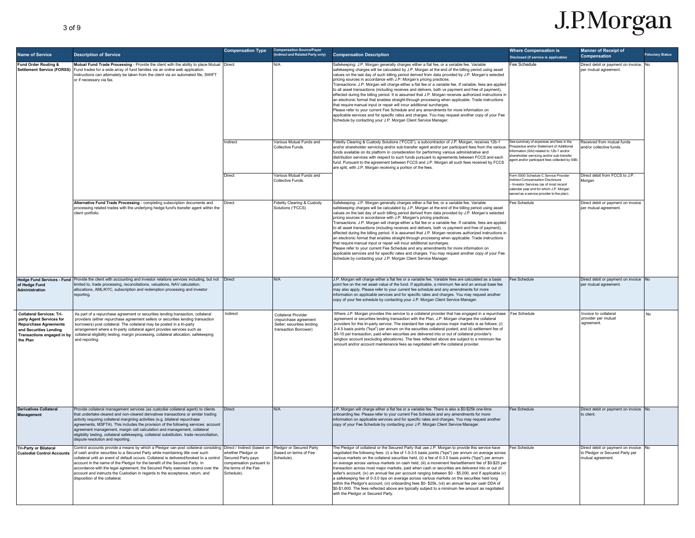| <b>Name of Service</b>                                                                                                                                           | <b>Description of Service</b>                                                                                                                                                                                                                                                                                                                                                                                                                                                                                                                                 | <b>Compensation Type</b>                                                                                                                  | Compensation Source/Payer<br>(Indirect and Related Party only)                                             | <b>Compensation Description</b>                                                                                                                                                                                                                                                                                                                                                                                                                                                                                                                                                                                                                                                                                                                                                                                                                                                                                                                                                                                                                                                                                                                     | <b>Where Compensation is</b><br>Disclosed (if service is applicable)                                                                                                                                                        | <b>Manner of Receipt of</b><br><b>Compensation</b>                                         | iduciary Status |
|------------------------------------------------------------------------------------------------------------------------------------------------------------------|---------------------------------------------------------------------------------------------------------------------------------------------------------------------------------------------------------------------------------------------------------------------------------------------------------------------------------------------------------------------------------------------------------------------------------------------------------------------------------------------------------------------------------------------------------------|-------------------------------------------------------------------------------------------------------------------------------------------|------------------------------------------------------------------------------------------------------------|-----------------------------------------------------------------------------------------------------------------------------------------------------------------------------------------------------------------------------------------------------------------------------------------------------------------------------------------------------------------------------------------------------------------------------------------------------------------------------------------------------------------------------------------------------------------------------------------------------------------------------------------------------------------------------------------------------------------------------------------------------------------------------------------------------------------------------------------------------------------------------------------------------------------------------------------------------------------------------------------------------------------------------------------------------------------------------------------------------------------------------------------------------|-----------------------------------------------------------------------------------------------------------------------------------------------------------------------------------------------------------------------------|--------------------------------------------------------------------------------------------|-----------------|
| Fund Order Routing &<br><b>Settlement Service (FORSS)</b>                                                                                                        | Mutual Fund Trade Processing - Provide the client with the ability to place Mutual Direct<br>Fund trades for a wide array of fund families via an online web application.<br>nstructions can alternately be taken from the client via an automated file, SWIFT<br>or if necessary via fax.                                                                                                                                                                                                                                                                    |                                                                                                                                           | N/A                                                                                                        | Safekeeping: J.P. Morgan generally charges either a flat fee, or a variable fee. Variable<br>afekeeping charges will be calculated by J.P. Morgan at the end of the billing period using asset<br>values on the last day of such billing period derived from data provided by J.P. Morgan's selected<br>pricing sources in accordance with J.P. Morgan's pricing practices.<br>Transactions: J.P. Morgan will charge either a flat fee or a variable fee. If variable, fees are applied<br>to all asset transactions (including receives and delivers, both vs payment and free of payment),<br>effected during the billing period. It is assumed that J.P. Morgan receives authorized instructions in<br>an electronic format that enables straight-through processing when applicable. Trade instructions<br>that require manual input or repair will incur additional surcharges.<br>Please refer to vour current Fee Schedule and any amendments for more information on<br>applicable services and for specific rates and charges. You may request another copy of your Fee<br>Schedule by contacting your J.P. Morgan Client Service Manager. | ee Schedule                                                                                                                                                                                                                 | Direct debit or payment on invoice, No<br>per mutual agreement.                            |                 |
|                                                                                                                                                                  |                                                                                                                                                                                                                                                                                                                                                                                                                                                                                                                                                               | Indirect                                                                                                                                  | Various Mutual Funds and<br>Collective Funds                                                               | Fidelity Clearing & Custody Solutions ("FCCS"), a subcontractor of J.P. Morgan, receives 12b-1<br>and/or shareholder servicing and/or sub-transfer agent and/or per participant fees from the various<br>unds available on its platform in consideration for performing various administrative and<br>distribution services with respect to such funds pursuant to agreements between FCCS and each<br>fund. Pursuant to the agreement between FCCS and J.P. Morgan all such fees received by FCCS<br>are split, with J.P. Morgan receiving a portion of the fees.                                                                                                                                                                                                                                                                                                                                                                                                                                                                                                                                                                                  | See summary of expenses and fees in the<br>Prospectus and/or Statement of Additional<br>formation (SAI) related to 12b-1 and/or<br>areholder servicing and/or sub-transfer<br>oent and/or participant fees collected by SIB | Received from mutual funds<br>and/or collective funds.                                     |                 |
|                                                                                                                                                                  |                                                                                                                                                                                                                                                                                                                                                                                                                                                                                                                                                               | Direct                                                                                                                                    | Various Mutual Funds and<br>Collective Funds                                                               |                                                                                                                                                                                                                                                                                                                                                                                                                                                                                                                                                                                                                                                                                                                                                                                                                                                                                                                                                                                                                                                                                                                                                     | Form 5500 Schedule C Service Provider<br>lirect Compensation Disclosure<br>Investor Services (as of most recent<br>alendar year end for which J.P. Morgan<br>served as a service provider to the plan).                     | Direct debit from FCCS to J.P.<br>Morgan                                                   |                 |
|                                                                                                                                                                  | Alternative Fund Trade Processing - completing subscription documents and<br>processing related trades with the underlying hedge fund's transfer agent within the<br>client portfolio.                                                                                                                                                                                                                                                                                                                                                                        | Direct                                                                                                                                    | Fidelity Clearing & Custody<br>Solutions ("FCCS)                                                           | Safekeeping: J.P. Morgan generally charges either a flat fee, or a variable fee. Variable<br>afekeeping charges will be calculated by J.P. Morgan at the end of the billing period using asset<br>values on the last day of such billing period derived from data provided by J.P. Morgan's selected<br>pricing sources in accordance with J.P. Morgan's pricing practices.<br>Transactions: J.P. Morgan will charge either a flat fee or a variable fee. If variable, fees are applied<br>to all asset transactions (including receives and delivers, both vs payment and free of payment),<br>effected during the billing period. It is assumed that J.P. Morgan receives authorized instructions in<br>an electronic format that enables straight-through processing when applicable. Trade instructions<br>that require manual input or repair will incur additional surcharges.<br>Please refer to your current Fee Schedule and any amendments for more information on<br>applicable services and for specific rates and charges. You may request another copy of your Fee<br>Schedule by contacting your J.P. Morgan Client Service Manager. | Fee Schedule                                                                                                                                                                                                                | Direct debit or payment on invoice<br>per mutual agreement.                                |                 |
| of Hedge Fund<br><b>Administration</b>                                                                                                                           | Hedge Fund Services - Fund Provide the client with accounting and investor relations services including, but not Direct<br>limited to, trade processing, reconciliations, valuations, NAV calculation,<br>allocations, AML/KYC, subscription and redemption processing and investor<br>reporting                                                                                                                                                                                                                                                              |                                                                                                                                           | <b>N/A</b>                                                                                                 | J.P. Morgan will charge either a flat fee or a variable fee. Variable fees are calculated as a basis<br>point fee on the net asset value of the fund. If applicable, a minimum fee and an annual base fee<br>may also apply. Please refer to your current fee schedule and any amendments for more<br>information on applicable services and for specific rates and charges. You may request another<br>copy of your fee schedule by contacting your J.P. Morgan Client Service Manager                                                                                                                                                                                                                                                                                                                                                                                                                                                                                                                                                                                                                                                             | Fee Schedule                                                                                                                                                                                                                | Direct debit or payment on invoice No<br>per mutual agreement                              |                 |
| <b>Collateral Services: Tri-</b><br>party Agent Services for<br><b>Repurchase Agreements</b><br>and Securities Lending<br>Transactions engaged in by<br>the Plan | As part of a repurchase agreement or securities lending transaction, collateral<br>providers (either repurchase agreement sellers or securities lending transaction<br>borrowers) post collateral. The collateral may be posted in a tri-party<br>arrangement where a tri-party collateral agent provides services such as<br>collateral eligibility testing, margin processing, collateral allocation, safekeeping<br>and reporting.                                                                                                                         | Indirect                                                                                                                                  | <b>Collateral Provider</b><br>(repurchase agreement<br>Seller; securities lending<br>transaction Borrower) | Where J.P. Morgan provides this service to a collateral provider that has engaged in a repurchase<br>agreement or securities lending transaction with the Plan, J.P. Morgan charges the collateral<br>providers for this tri-party service. The standard fee range across major markets is as follows: (i)<br>2-4.5 basis points ("bps") per annum on the securities collateral posted; and (ii) settlement fee of<br>\$5-10 per transaction, paid when securities are delivered into or out of collateral provider's<br>longbox account (excluding allocations). The fees reflected above are subject to a minimum fee<br>amount and/or account maintenance fees as negotiated with the collateral provider.                                                                                                                                                                                                                                                                                                                                                                                                                                       | Fee Schedule                                                                                                                                                                                                                | Invoice to collateral<br>provider per mutual<br>agreement.                                 | No              |
| <b>Derivatives Collateral</b><br><b>Management</b>                                                                                                               | Provide collateral management services (as custodial collateral agent) to clients<br>that undertake cleared and non-cleared derivatives transactions or similar trading<br>activity requiring collateral margining activities (e.g. bilateral repurchase<br>agreements, MSFTA). This includes the provision of the following services: account<br>agreement management, margin call calculation and management, collateral<br>eligibility testing, collateral safekeeping, collateral substitution, trade reconciliation,<br>dispute resolution and reporting | <b>Direct</b>                                                                                                                             | N/A                                                                                                        | J.P. Morgan will charge either a flat fee or a variable fee. There is also a \$0-\$25k one-time<br>onboarding fee. Please refer to your current Fee Schedule and any amendments for more<br>formation on applicable services and for specific rates and charges. You may request another<br>copy of your Fee Schedule by contacting your J.P. Morgan Client Service Manager.                                                                                                                                                                                                                                                                                                                                                                                                                                                                                                                                                                                                                                                                                                                                                                        | ee Schedule                                                                                                                                                                                                                 | Direct debit or payment on invoice No<br>to client.                                        |                 |
| <b>Tri-Party or Bilateral</b><br><b>Custodial Control Accounts</b>                                                                                               | Control accounts provide a means by which a Pledgor can post collateral consisting<br>of cash and/or securities to a Secured Party while maintaining title over such<br>collateral until an event of default occurs. Collateral is delivered/booked to a control<br>account in the name of the Pledgor for the benefit of the Secured Party. In<br>accordance with the legal agreement, the Secured Party exercises control over the<br>account and instructs the Custodian in regards to the acceptance, return, and<br>disposition of the collateral.       | Direct / Indirect (based on<br>whether Pledgor or<br>Secured Party pays<br>compensation pursuant to<br>the terms of the Fee<br>Schedule). | Pledgor or Secured Party<br>based on terms of Fee<br>schedule)                                             | The Pledgor of collateral or the Secured Party that use J.P. Morgan to provide this service have<br>legotiated the following fees: (i) a fee of 1.0-3.5 basis points ("bps") per annum on average across<br>various markets on the collateral securities held, (ii) a fee of 0-3.5 basis points ("bps") per annum<br>on average across various markets on cash held, (iii) a movement fee/settlement fee of \$0-\$25 per<br>ransaction across most major markets, paid when cash or securities are delivered into or out of<br>seller's account, (iv) an annual fee per account ranging between \$0 - \$5,000, and if applicable (v)<br>a safekeeping fee of 0-3.0 bps on average across various markets on the securities held long<br>within the Pledgor's account, (vi) onboarding fees \$0- \$25k, (vii) an annual fee per cash DDA of<br>\$0-\$1,600. The fees reflected above are typically subject to a minimum fee amount as negotiated<br>with the Pledgor or Secured Party.                                                                                                                                                               | Fee Schedule                                                                                                                                                                                                                | Direct debit or payment on invoice<br>to Pledgor or Secured Party per<br>mutual agreement. | No              |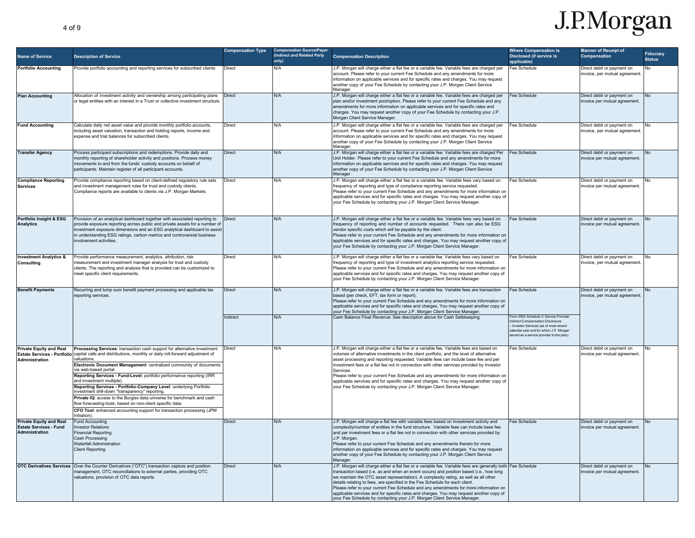| <b>Name of Service</b>                                                            | <b>Description of Service</b>                                                                                                                                                                                                                                                                                                                                                                                                                                                                                                                                                                                                                                                                                                                                 | <b>Compensation Type</b> | <b>Compensation Source/Payer</b><br>(Indirect and Related Party<br>only) | <b>Compensation Description</b>                                                                                                                                                                                                                                                                                                                                                                                                                                                                                                                                                                                                                    | <b>Where Compensation is</b><br><b>Disclosed (if service is</b><br>applicable)                                                                                                                                          | <b>Manner of Receipt of</b><br>Compensation                 | <b>Fiduciary</b><br><b>Status</b> |
|-----------------------------------------------------------------------------------|---------------------------------------------------------------------------------------------------------------------------------------------------------------------------------------------------------------------------------------------------------------------------------------------------------------------------------------------------------------------------------------------------------------------------------------------------------------------------------------------------------------------------------------------------------------------------------------------------------------------------------------------------------------------------------------------------------------------------------------------------------------|--------------------------|--------------------------------------------------------------------------|----------------------------------------------------------------------------------------------------------------------------------------------------------------------------------------------------------------------------------------------------------------------------------------------------------------------------------------------------------------------------------------------------------------------------------------------------------------------------------------------------------------------------------------------------------------------------------------------------------------------------------------------------|-------------------------------------------------------------------------------------------------------------------------------------------------------------------------------------------------------------------------|-------------------------------------------------------------|-----------------------------------|
| <b>Portfolio Accounting</b>                                                       | Provide portfolio accounting and reporting services for subscribed clients                                                                                                                                                                                                                                                                                                                                                                                                                                                                                                                                                                                                                                                                                    | <b>Direct</b>            | N/A                                                                      | J.P. Morgan will charge either a flat fee or a variable fee. Variable fees are charged per<br>account. Please refer to your current Fee Schedule and any amendments for more<br>information on applicable services and for specific rates and charges. You may request<br>another copy of your Fee Schedule by contacting your J.P. Morgan Client Service<br>Manager                                                                                                                                                                                                                                                                               | Fee Schedule                                                                                                                                                                                                            | Direct debit or payment on<br>invoice, per mutual agreement | No                                |
| <b>Plan Accounting</b>                                                            | Allocation of investment activity and ownership among participating plans<br>or legal entities with an interest in a Trust or collective investment structure                                                                                                                                                                                                                                                                                                                                                                                                                                                                                                                                                                                                 | Direct                   | N/A                                                                      | J.P. Morgan will charge either a flat fee or a variable fee. Variable fees are charged per<br>plan and/or investment pool/option. Please refer to your current Fee Schedule and any<br>amendments for more information on applicable services and for specific rates and<br>charges. You may request another copy of your Fee Schedule by contacting your J.P.<br>Morgan Client Service Manager.                                                                                                                                                                                                                                                   | Fee Schedule                                                                                                                                                                                                            | Direct debit or payment on<br>invoice per mutual agreement. | No                                |
| <b>Fund Accounting</b>                                                            | Calculate daily net asset value and provide monthly portfolio accounts,<br>including asset valuation, transaction and holding reports, income and<br>expense and trial balances for subscribed clients.                                                                                                                                                                                                                                                                                                                                                                                                                                                                                                                                                       | Direct                   | N/A                                                                      | J.P. Morgan will charge either a flat fee or a variable fee. Variable fees are charged per<br>account. Please refer to vour current Fee Schedule and any amendments for more<br>information on applicable services and for specific rates and charges. You may request<br>another copy of your Fee Schedule by contacting your J.P. Morgan Client Service<br>Manager.                                                                                                                                                                                                                                                                              | Fee Schedule                                                                                                                                                                                                            | Direct debit or payment on<br>invoice, per mutual agreement | No                                |
| <b>Transfer Agency</b>                                                            | Process participant subscriptions and redemptions. Provide daily and<br>monthly reporting of shareholder activity and positions. Process money<br>movements to and from the funds' custody accounts on behalf of<br>participants. Maintain register of all participant accounts.                                                                                                                                                                                                                                                                                                                                                                                                                                                                              | Direct                   | N/A                                                                      | J.P. Morgan will charge either a flat fee or a variable fee. Variable fees are charged Per<br>Unit Holder. Please refer to vour current Fee Schedule and any amendments for more<br>information on applicable services and for specific rates and charges. You may request<br>another copy of your Fee Schedule by contacting your J.P. Morgan Client Service<br>Manager.                                                                                                                                                                                                                                                                          | Fee Schedule                                                                                                                                                                                                            | Direct debit or payment on<br>invoice per mutual agreement. | <b>No</b>                         |
| <b>Compliance Reporting</b><br><b>Services</b>                                    | Provide compliance reporting based on client-defined regulatory rule sets<br>and investment management rules for trust and custody clients.<br>Compliance reports are available to clients via J.P. Morgan Markets.                                                                                                                                                                                                                                                                                                                                                                                                                                                                                                                                           | Direct                   | N/A                                                                      | J.P. Morgan will charge either a flat fee or a variable fee. Variable fees vary based on<br>frequency of reporting and type of compliance reporting service requested<br>Please refer to your current Fee Schedule and any amendments for more information on<br>applicable services and for specific rates and charges. You may request another copy of<br>your Fee Schedule by contacting your J.P. Morgan Client Service Manager.                                                                                                                                                                                                               | Fee Schedule                                                                                                                                                                                                            | Direct debit or payment on<br>invoice per mutual agreement  |                                   |
| Portfolio Insight & ESG<br><b>Analytics</b>                                       | Provision of an analytical dashboard together with associated reporting to<br>provide exposure reporting across public and private assets for a number of<br>investment exposure dimensions and an ESG analytical dashboard to assis<br>in understanding ESG ratings, carbon metrics and controversial business<br>involvement activities                                                                                                                                                                                                                                                                                                                                                                                                                     | <b>Direct</b>            | N/A                                                                      | J.P. Morgan will charge either a flat fee or a variable fee. Variable fees vary based on<br>frequency of reporting and number of accounts requested. There can also be ESG<br>vendor specific costs which will be payable by the client.<br>Please refer to your current Fee Schedule and any amendments for more information on<br>applicable services and for specific rates and charges. You may request another copy of<br>your Fee Schedule by contacting your J.P. Morgan Client Service Manager.                                                                                                                                            | Fee Schedule                                                                                                                                                                                                            | Direct debit or payment on<br>invoice per mutual agreement. | N <sub>0</sub>                    |
| <b>Investment Analytics &amp;</b><br>Consulting                                   | Provide performance measurement, analytics, attribution, risk<br>measurement and investment manager analysis for trust and custody<br>clients. The reporting and analysis that is provided can be customized to<br>meet specific client requirements.                                                                                                                                                                                                                                                                                                                                                                                                                                                                                                         | Direct                   | N/A                                                                      | J.P. Morgan will charge either a flat fee or a variable fee. Variable fees vary based on<br>frequency of reporting and type of investment analytics reporting service requested.<br>Please refer to your current Fee Schedule and any amendments for more information on<br>applicable services and for specific rates and charges. You may request another copy of<br>your Fee Schedule by contacting your J.P. Morgan Client Service Manager.                                                                                                                                                                                                    | <b>Fee Schedule</b>                                                                                                                                                                                                     | Direct debit or payment on<br>nvoice, per mutual agreement  |                                   |
| <b>Benefit Payments</b>                                                           | Recurring and lump sum benefit payment processing and applicable tax<br>reporting services.                                                                                                                                                                                                                                                                                                                                                                                                                                                                                                                                                                                                                                                                   | Direct<br>Indirect       | N/A<br>N/A                                                               | J.P. Morgan will charge either a flat fee or a variable fee. Variable fees are transaction<br>based (per check, EFT, tax form or report).<br>Please refer to your current Fee Schedule and any amendments for more information on<br>applicable services and for specific rates and charges. You may request another copy of<br>your Fee Schedule by contacting your J.P. Morgan Client Service Manager.<br>Cash Balance Float Revenue: See description above for Cash Safekeeping.                                                                                                                                                                | Fee Schedule<br>orm 5500 Schedule C Service Provider<br>ndirect Compensation Disclosure<br>Investor Services (as of most recent<br>alendar vear end for which J.P. Morgan<br>served as a service provider to the plan). | Direct debit or payment on<br>invoice, per mutual agreement | <b>No</b>                         |
| <b>Private Equity and Real</b><br>Administration                                  | Processing Services: transaction cash support for alternative investment<br>Estate Services - Portfolio capital calls and distributions, monthly or daily roll-forward adjustment of<br>valuations<br>Electronic Document Management: centralized community of documents<br>via web-based portal<br>Reporting Services - Fund-Level: portfolio performance reporting (IRR<br>and investment multiple)<br>Reporting Services - Portfolio-Company Level: underlying Portfolio<br>investment drill-down "transparency" reporting.<br>Private IQ: access to the Burgiss data universe for benchmark and cash<br>flow forecasting tools, based on non-client specific data.<br>CFO Tool: enhanced accounting support for transaction processing (JPM<br>nitiation) | Direct                   | N/A                                                                      | J.P. Morgan will charge either a flat fee or a variable fee, Variable fees are based on<br>volumes of alternative investments in the client portfolio, and the level of alternative<br>asset processing and reporting requested. Variable fees can include base fee and per<br>investment fees or a flat fee not in connection with other services provided by Investor<br>Services<br>Please refer to your current Fee Schedule and any amendments for more information on<br>applicable services and for specific rates and charges. You may request another copy of<br>your Fee Schedule by contacting your J.P. Morgan Client Service Manager. | Fee Schedule                                                                                                                                                                                                            | Direct debit or payment on<br>nvoice per mutual agreement.  |                                   |
| <b>Private Equity and Real</b><br><b>Estate Services - Fund</b><br>Administration | <b>Fund Accounting</b><br><b>Investor Relations</b><br><b>Financial Reporting</b><br>Cash Processing<br><b>Waterfall Administration</b><br><b>Client Reporting</b>                                                                                                                                                                                                                                                                                                                                                                                                                                                                                                                                                                                            | Direct                   | N/A                                                                      | J.P. Morgan will charge a flat fee with variable fees based on investment activity and<br>complexity/number of entities in the fund structure. Variable fees can include base fee<br>and per investment fees or a flat fee not in connection with other services provided by<br>J.P. Morgan.<br>Please refer to your current Fee Schedule and any amendments thereto for more<br>information on applicable services and for specific rates and charges. You may request<br>another copy of your Fee Schedule by contacting your J.P. Morgan Client Service<br>Manager.                                                                             | Fee Schedule                                                                                                                                                                                                            | Direct debit or payment on<br>invoice per mutual agreement. |                                   |
|                                                                                   | <b>OTC Derivatives Services</b> Over the Counter Derivatives ("OTC") transaction capture and position<br>management, OTC reconciliations to external parties, providing OTC<br>valuations, provision of OTC data reports.                                                                                                                                                                                                                                                                                                                                                                                                                                                                                                                                     | <b>Direct</b>            | N/A                                                                      | J.P. Morgan will charge either a flat fee or a variable fee. Variable fees are generally both<br>transaction based (i.e. as and when an event occurs) and position based (i.e., how long<br>we maintain the OTC asset representation). A complexity rating, as well as all other<br>details relating to fees, are specified in the Fee Schedule for each client.<br>Please refer to your current Fee Schedule and any amendments for more information on<br>applicable services and for specific rates and charges. You may request another copy of<br>your Fee Schedule by contacting your J.P. Morgan Client Service Manager.                    | Fee Schedule                                                                                                                                                                                                            | Direct debit or payment on<br>invoice per mutual agreement. | N <sub>0</sub>                    |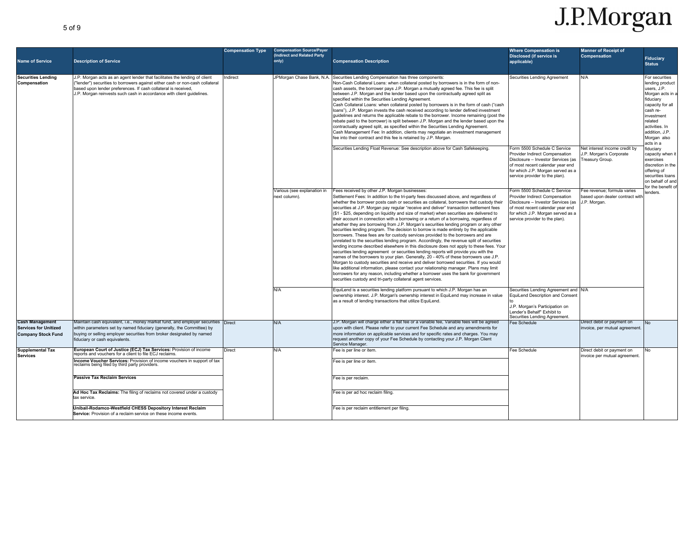| <b>Name of Service</b>                                                              | <b>Description of Service</b>                                                                                                                                                                                                                                                                         | <b>Compensation Type</b> | <b>Compensation Source/Payer</b><br>(Indirect and Related Party<br>only) | <b>Compensation Description</b>                                                                                                                                                                                                                                                                                                                                                                                                                                                                                                                                                                                                                                                                                                                                                                                                                                                                                                                                                                                                                                                                                                                                                                                                                                                                                                                                                                                                                                                                                | <b>Where Compensation is</b><br><b>Disclosed (if service is</b><br>applicable)                                                                                                                                  | <b>Manner of Receipt of</b><br><b>Compensation</b>                             | <b>Fiduciary</b><br><b>Status</b>                                                                                                                                                                          |
|-------------------------------------------------------------------------------------|-------------------------------------------------------------------------------------------------------------------------------------------------------------------------------------------------------------------------------------------------------------------------------------------------------|--------------------------|--------------------------------------------------------------------------|----------------------------------------------------------------------------------------------------------------------------------------------------------------------------------------------------------------------------------------------------------------------------------------------------------------------------------------------------------------------------------------------------------------------------------------------------------------------------------------------------------------------------------------------------------------------------------------------------------------------------------------------------------------------------------------------------------------------------------------------------------------------------------------------------------------------------------------------------------------------------------------------------------------------------------------------------------------------------------------------------------------------------------------------------------------------------------------------------------------------------------------------------------------------------------------------------------------------------------------------------------------------------------------------------------------------------------------------------------------------------------------------------------------------------------------------------------------------------------------------------------------|-----------------------------------------------------------------------------------------------------------------------------------------------------------------------------------------------------------------|--------------------------------------------------------------------------------|------------------------------------------------------------------------------------------------------------------------------------------------------------------------------------------------------------|
| <b>Securities Lending</b><br>Compensation                                           | J.P. Morgan acts as an agent lender that facilitates the lending of client<br>"lender") securities to borrowers against either cash or non-cash collateral<br>based upon lender preferences. If cash collateral is received,<br>J.P. Morgan reinvests such cash in accordance with client guidelines. | ndirect<br>next column). | JPMorgan Chase Bank, N.A.                                                | Securities Lending Compensation has three components<br>Non-Cash Collateral Loans: when collateral posted by borrowers is in the form of non-<br>cash assets, the borrower pays J.P. Morgan a mutually agreed fee. This fee is split<br>between J.P. Morgan and the lender based upon the contractually agreed split as<br>specified within the Securities Lending Agreement.<br>Cash Collateral Loans: when collateral posted by borrowers is in the form of cash ("cash<br>loans"), J.P. Morgan invests the cash received according to lender defined investment<br>quidelines and returns the applicable rebate to the borrower. Income remaining (post the<br>rebate paid to the borrower) is split between J.P. Morgan and the lender based upon the<br>contractually agreed split, as specified within the Securities Lending Agreement.<br>Cash Management Fee: In addition, clients may negotiate an investment management<br>fee into their contract and this fee is retained by J.P. Morgan.                                                                                                                                                                                                                                                                                                                                                                                                                                                                                                         | Securities Lending Agreement                                                                                                                                                                                    | N/A                                                                            | For securities<br>lending product<br>users, J.P.<br>Morgan acts in a<br>fiduciary<br>capacity for all<br>cash re-<br>investment<br>related<br>activities. In<br>addition, J.P.<br>Morgan also<br>acts in a |
|                                                                                     |                                                                                                                                                                                                                                                                                                       |                          |                                                                          | Securities Lending Float Revenue: See description above for Cash Safekeeping.                                                                                                                                                                                                                                                                                                                                                                                                                                                                                                                                                                                                                                                                                                                                                                                                                                                                                                                                                                                                                                                                                                                                                                                                                                                                                                                                                                                                                                  | orm 5500 Schedule C Service<br>Provider Indirect Compensation<br>Disclosure - Investor Services (as<br>of most recent calendar year end<br>for which J.P. Morgan served as a<br>service provider to the plan).  | Net interest income credit by<br>J.P. Morgan's Corporate<br>Treasury Group.    | fiduciary<br>capacity when it<br>exercises<br>discretion in the<br>offering of<br>securities loans<br>on behalf of and<br>for the benefit of                                                               |
|                                                                                     |                                                                                                                                                                                                                                                                                                       |                          | Various (see explanation in                                              | Fees received by other J.P. Morgan businesses:<br>Settlement Fees: In addition to the tri-party fees discussed above, and regardless of<br>whether the borrower posts cash or securities as collateral, borrowers that custody their<br>securities at J.P. Morgan pay regular "receive and deliver" transaction settlement fees<br>(\$1 - \$25, depending on liquidity and size of market) when securities are delivered to<br>their account in connection with a borrowing or a return of a borrowing, regardless of<br>whether they are borrowing from J.P. Morgan's securities lending program or any other<br>securities lending program. The decision to borrow is made entirely by the applicable<br>borrowers. These fees are for custody services provided to the borrowers and are<br>unrelated to the securities lending program. Accordingly, the revenue split of securities<br>lending income described elsewhere in this disclosure does not apply to these fees. Your<br>securities lending agreement or securities lending reports will provide you with the<br>names of the borrowers to your plan. Generally, 20 - 40% of these borrowers use J.P.<br>Morgan to custody securities and receive and deliver borrowed securities. If you would<br>like additional information, please contact your relationship manager. Plans may limit<br>borrowers for any reason, including whether a borrower uses the bank for government<br>securities custody and tri-party collateral agent services. | Form 5500 Schedule C Service<br>Provider Indirect Compensation<br>Disclosure - Investor Services (as<br>of most recent calendar year end<br>for which J.P. Morgan served as a<br>service provider to the plan). | Fee revenue: formula varies<br>based upon dealer contract witl<br>J.P. Morgan. | lenders.                                                                                                                                                                                                   |
|                                                                                     |                                                                                                                                                                                                                                                                                                       |                          | N/A                                                                      | EquiLend is a securities lending platform pursuant to which J.P. Morgan has an<br>ownership interest. J.P. Morgan's ownership interest in EquiLend may increase in value<br>as a result of lending transactions that utilize EquiLend.                                                                                                                                                                                                                                                                                                                                                                                                                                                                                                                                                                                                                                                                                                                                                                                                                                                                                                                                                                                                                                                                                                                                                                                                                                                                         | Securities Lending Agreement and N/A<br>EquiLend Description and Consent<br>J.P. Morgan's Participation on<br>Lender's Behalf" Exhibit to<br>Securities Lending Agreement.                                      |                                                                                |                                                                                                                                                                                                            |
| <b>Cash Management</b><br><b>Services for Unitized</b><br><b>Company Stock Fund</b> | Maintain cash equivalent, i.e., money market fund, and employer securities Direct<br>within parameters set by named fiduciary (generally, the Committee) by<br>buying or selling employer securities from broker designated by named<br>fiduciary or cash equivalents.                                |                          | N/A                                                                      | J.P. Morgan will charge either a flat fee or a variable fee, Variable fees will be agreed<br>upon with client. Please refer to your current Fee Schedule and any amendments for<br>more information on applicable services and for specific rates and charges. You may<br>request another copy of your Fee Schedule by contacting your J.P. Morgan Client<br>Service Manager.                                                                                                                                                                                                                                                                                                                                                                                                                                                                                                                                                                                                                                                                                                                                                                                                                                                                                                                                                                                                                                                                                                                                  | Fee Schedule                                                                                                                                                                                                    | Direct debit or payment on<br>invoice, per mutual agreement                    | N <sub>0</sub>                                                                                                                                                                                             |
| <b>Supplemental Tax</b><br><b>Services</b>                                          | European Court of Justice (ECJ) Tax Services: Provision of income<br>eports and vouchers for a client tó file ECJ reclaims.<br>Income Voucher Services: Provision of income vouchers in support of tax<br>reclaims being filed by third party providers.<br><b>Passive Tax Reclaim Services</b>       | Direct                   | N/A                                                                      | Fee is per line or item.<br>Fee is per line or item<br>Fee is per reclaim.                                                                                                                                                                                                                                                                                                                                                                                                                                                                                                                                                                                                                                                                                                                                                                                                                                                                                                                                                                                                                                                                                                                                                                                                                                                                                                                                                                                                                                     | Fee Schedule                                                                                                                                                                                                    | Direct debit or payment on<br>invoice per mutual agreement.                    |                                                                                                                                                                                                            |
|                                                                                     | Ad Hoc Tax Reclaims: The filing of reclaims not covered under a custody<br>tax service.<br>Unibail-Rodamco-Westfield CHESS Depository Interest Reclaim<br>Service: Provision of a reclaim service on these income events                                                                              |                          |                                                                          | Fee is per ad hoc reclaim filing.<br>Fee is per reclaim entitlement per filing.                                                                                                                                                                                                                                                                                                                                                                                                                                                                                                                                                                                                                                                                                                                                                                                                                                                                                                                                                                                                                                                                                                                                                                                                                                                                                                                                                                                                                                |                                                                                                                                                                                                                 |                                                                                |                                                                                                                                                                                                            |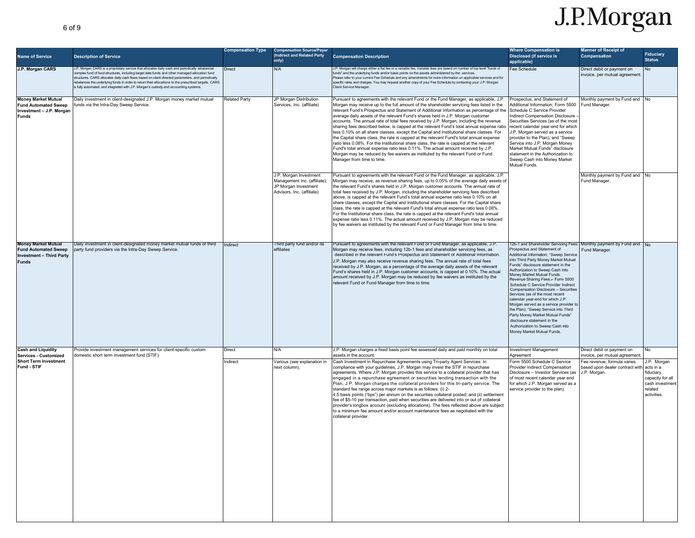| <b>Name of Service</b>                                                                                       | <b>Description of Service</b>                                                                                                                                                                                                                                                                                                                                                                                                                                                                          | <b>Compensation Type</b> | <b>Compensation Source/Payer</b><br>(Indirect and Related Party<br>only)                                     | <b>Compensation Description</b>                                                                                                                                                                                                                                                                                                                                                                                                                                                                                                                                                                                                                                                                                                                                                                                                                                                                                                                                                                                                                | <b>Where Compensation is</b><br><b>Disclosed (if service is</b><br>applicable)                                                                                                                                                                                                                                                                                                                                                                                                                                                                                                                                                                                                   | <b>Manner of Receipt of</b><br>Compensation                                    | <b>Fiduciary</b><br><b>Status</b>                                                                     |
|--------------------------------------------------------------------------------------------------------------|--------------------------------------------------------------------------------------------------------------------------------------------------------------------------------------------------------------------------------------------------------------------------------------------------------------------------------------------------------------------------------------------------------------------------------------------------------------------------------------------------------|--------------------------|--------------------------------------------------------------------------------------------------------------|------------------------------------------------------------------------------------------------------------------------------------------------------------------------------------------------------------------------------------------------------------------------------------------------------------------------------------------------------------------------------------------------------------------------------------------------------------------------------------------------------------------------------------------------------------------------------------------------------------------------------------------------------------------------------------------------------------------------------------------------------------------------------------------------------------------------------------------------------------------------------------------------------------------------------------------------------------------------------------------------------------------------------------------------|----------------------------------------------------------------------------------------------------------------------------------------------------------------------------------------------------------------------------------------------------------------------------------------------------------------------------------------------------------------------------------------------------------------------------------------------------------------------------------------------------------------------------------------------------------------------------------------------------------------------------------------------------------------------------------|--------------------------------------------------------------------------------|-------------------------------------------------------------------------------------------------------|
| J.P. Morgan CARS                                                                                             | J.P. Morgan CARS is a proprietary service that allocates daily cash and periodically rebalances<br>complex fund of fund structures, including target date funds and other managed allocation fund<br>structures. CARS allocates daily cash flows based on client directed parameters, and periodically<br>rebalances the underlying funds in order to return their allocations to the prescribed targets. CARS<br>is fully automated, and integrated with J.P. Morgan's custody and accounting systems | Direct                   | N/A                                                                                                          | J.P. Morgan will charge either a flat fee or a variable fee, Variable fees are based on number of top level "funds of<br>funds" and the underlying funds and/or basis points on the assets administered by the services.<br>Please refer to your current Fee Schedule and any amendments for more information on applicable services and for<br>specific rates and charges. You may request another copy of your Fee Schedule by contacting your J.P. Morgan<br><b>Client Service Manager</b>                                                                                                                                                                                                                                                                                                                                                                                                                                                                                                                                                  | Fee Schedule                                                                                                                                                                                                                                                                                                                                                                                                                                                                                                                                                                                                                                                                     | Direct debit or payment on<br>invoice, per mutual agreement                    | <b>No</b>                                                                                             |
| <b>Money Market Mutual</b><br><b>Fund Automated Sweep</b><br>Investment - J.P. Morgan<br>Funds               | Daily investment in client-designated J.P. Morgan money market mutual<br>funds via the Intra-Dav Sweep Service.                                                                                                                                                                                                                                                                                                                                                                                        | <b>Related Party</b>     | JP Morgan Distribution<br>Services, Inc. (affiliate)                                                         | Pursuant to agreements with the relevant Fund or the Fund Manager, as applicable, J.P.<br>Morgan may receive up to the full amount of the shareholder servicing fees listed in the<br>relevant Fund's Prospectus and Statement of Additional Information as percentage of the<br>average daily assets of the relevant Fund's shares held in J.P. Morgan customer<br>accounts. The annual rate of total fees received by J.P. Morgan, including the revenue<br>sharing fees described below, is capped at the relevant Fund's total annual expense ratio<br>less 0.10% on all share classes, except the Capital and Institutional share classes. For<br>the Capital share class, the rate is capped at the relevant Fund's total annual expense<br>ratio less 0.08%. For the Institutional share class, the rate is capped at the relevant<br>Fund's total annual expense ratio less 0.11%. The actual amount received by J.P.<br>Morgan may be reduced by fee waivers as instituted by the relevant Fund or Fund<br>Manager from time to time. | Prospectus: and Statement of<br>Additional Information: Form 5500<br>Schedule C Service Provider<br>Indirect Compensation Disclosure<br>Securities Services (as of the most<br>recent calendar year-end for which<br>J.P. Morgan served as a service<br>provider to the Plan); and "Sweep<br>Service into J.P. Morgan Money<br>Market Mutual Funds" disclosure<br>statement in the Authorization to<br>Sweep Cash into Money Market<br>Mutual Funds.                                                                                                                                                                                                                             | Monthly payment by Fund and No<br>Fund Manager.                                |                                                                                                       |
|                                                                                                              |                                                                                                                                                                                                                                                                                                                                                                                                                                                                                                        |                          | J.P. Morgan Investment<br>Management Inc. (affiliate);<br>JP Morgan Investment<br>Advisors, Inc. (affiliate) | Pursuant to agreements with the relevant Fund or the Fund Manager, as applicable, J.P.<br>Morgan may receive, as revenue sharing fees, up to 0.05% of the average daily assets of<br>the relevant Fund's shares held in J.P. Morgan customer accounts. The annual rate of<br>total fees received by J.P. Morgan, including the shareholder servicing fees described<br>above, is capped at the relevant Fund's total annual expense ratio less 0.10% on all<br>share classes, except the Capital and Institutional share classes. For the Capital share<br>class, the rate is capped at the relevant Fund's total annual expense ratio less 0.08%.<br>For the Institutional share class, the rate is capped at the relevant Fund's total annual<br>expense ratio less 0.11%. The actual amount received by J.P. Morgan may be reduced<br>by fee waivers as instituted by the relevant Fund or Fund Manager from time to time.                                                                                                                  |                                                                                                                                                                                                                                                                                                                                                                                                                                                                                                                                                                                                                                                                                  | Monthly payment by Fund and No<br>Fund Manager.                                |                                                                                                       |
| <b>Money Market Mutual</b><br><b>Fund Automated Sweep</b><br><b>Investment - Third Party</b><br><b>Funds</b> | Daily investment in client-designated money market mutual funds of third<br>party fund providers via the Intra-Day Sweep Service.                                                                                                                                                                                                                                                                                                                                                                      | Indirect                 | Third party fund and/or its<br>affiliates                                                                    | Pursuant to agreements with the relevant Fund or Fund Manager, as applicable, J.P.<br>Morgan may receive fees, including 12b-1 fees and shareholder servicing fees, as<br>described in the relevant Fund's Prospectus and Statement of Additional Information.<br>J.P. Morgan may also receive revenue sharing fees. The annual rate of total fees<br>received by J.P. Morgan, as a percentage of the average daily assets of the relevant<br>Fund's shares held in J.P. Morgan customer accounts, is capped at 0.10%. The actual<br>amount received by J.P. Morgan may be reduced by fee waivers as instituted by the<br>relevant Fund or Fund Manager from time to time.                                                                                                                                                                                                                                                                                                                                                                     | 12b-1 and Shareholder Servicing Fees<br>Prospectus and Statement of<br>Additional Information; "Sweep Service<br>into Third Party Money Market Mutual<br>Funds" disclosure statement in the<br>Authorization to Sweep Cash into<br>Money Market Mutual Funds.<br>Revenue Sharing Fees:-- Form 5500<br>Schedule C Service Provider Indirect<br>Compensation Disclosure - Securities<br>Services (as of the most recent<br>calendar year-end for which J.P.<br>Morgan served as a service provider to<br>the Plan); "Sweep Service into Third<br>Party Money Market Mutual Funds"<br>disclosure statement in the<br>Authorization to Sweep Cash into<br>Money Market Mutual Funds. | Monthly payment by Fund and No<br>Fund Manager.                                |                                                                                                       |
| <b>Cash and Liquidity</b><br><b>Services - Customized</b>                                                    | Provide investment management services for client-specific custom<br>domestic short term investment fund (STIF).                                                                                                                                                                                                                                                                                                                                                                                       | Direct                   | N/A                                                                                                          | J.P. Morgan charges a fixed basis point fee assessed daily and paid monthly on total<br>assets in the account.                                                                                                                                                                                                                                                                                                                                                                                                                                                                                                                                                                                                                                                                                                                                                                                                                                                                                                                                 | <b>Investment Management</b><br>Agreement                                                                                                                                                                                                                                                                                                                                                                                                                                                                                                                                                                                                                                        | Direct debit or payment on<br>invoice, per mutual agreement                    | No                                                                                                    |
| <b>Short Term Investment</b><br>Fund - STIF                                                                  |                                                                                                                                                                                                                                                                                                                                                                                                                                                                                                        | Indirect                 | Various (see explanation in<br>next column).                                                                 | Cash Investment in Repurchase Agreements using Tri-party Agent Services: In<br>compliance with your guidelines, J.P. Morgan may invest the STIF in repurchase<br>agreements. Where J.P. Morgan provides this service to a collateral provider that has<br>engaged in a repurchase agreement or securities lending transaction with the<br>Plan, J.P. Morgan charges the collateral providers for this tri-party service. The<br>standard fee range across major markets is as follows: (i) 2-<br>4.5 basis points ("bps") per annum on the securities collateral posted; and (ii) settlement<br>fee of \$5-10 per transaction, paid when securities are delivered into or out of collateral<br>provider's longbox account (excluding allocations). The fees reflected above are subject<br>to a minimum fee amount and/or account maintenance fees as negotiated with the<br>collateral provider.                                                                                                                                              | Form 5500 Schedule C Service<br>Provider Indirect Compensation<br>Disclosure - Investor Services (as<br>of most recent calendar year end<br>for which J.P. Morgan served as a<br>service provider to the plan).                                                                                                                                                                                                                                                                                                                                                                                                                                                                  | Fee revenue; formula varies<br>based upon dealer contract with<br>J.P. Morgan. | J.P. Morgan<br>acts in a<br>fiduciary<br>capacity for all<br>cash investmen<br>related<br>activities. |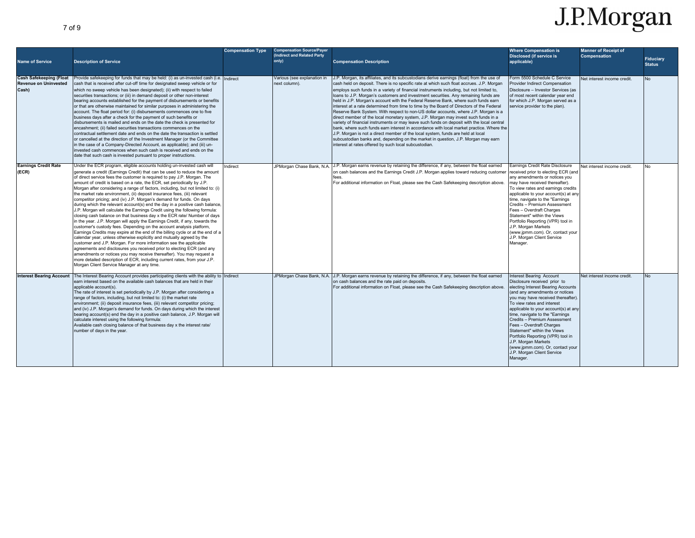| <b>Name of Service</b><br><b>Cash Safekeeping (Float</b><br><b>Revenue on Uninvested</b><br>Cash) | <b>Description of Service</b><br>Provide safekeeping for funds that may be held: (i) as un-invested cash (i.e. Indirect<br>cash that is received after cut-off time for designated sweep vehicle or for<br>which no sweep vehicle has been designated); (ii) with respect to failed<br>securities transactions; or (iii) in demand deposit or other non-interest<br>bearing accounts established for the payment of disbursements or benefits<br>or that are otherwise maintained for similar purposes in administering the<br>account. The float period for: (i) disbursements commences one to five<br>business days after a check for the payment of such benefits or<br>disbursements is mailed and ends on the date the check is presented for<br>encashment; (ii) failed securities transactions commences on the<br>contractual settlement date and ends on the date the transaction is settled<br>or cancelled at the direction of the Investment Manager (or the Committee<br>in the case of a Company-Directed Account, as applicable); and (iii) un-<br>invested cash commences when such cash is received and ends on the<br>date that such cash is invested pursuant to proper instructions.                                                                                                                                                                                                                                                       | <b>Compensation Type</b> | <b>Compensation Source/Payer</b><br>(Indirect and Related Party<br>only)<br>Various (see explanation in<br>next column) | <b>Compensation Description</b><br>J.P. Morgan, its affiliates, and its subcustodians derive earnings (float) from the use of<br>cash held on deposit. There is no specific rate at which such float accrues. J.P. Morgan<br>employs such funds in a variety of financial instruments including, but not limited to,<br>loans to J.P. Morgan's customers and investment securities. Any remaining funds are<br>held in J.P. Morgan's account with the Federal Reserve Bank, where such funds earn<br>interest at a rate determined from time to time by the Board of Directors of the Federal<br>Reserve Bank System, With respect to non-US dollar accounts, where J.P. Morgan is a<br>direct member of the local monetary system. J.P. Morgan may invest such funds in a<br>variety of financial instruments or may leave such funds on deposit with the local central<br>bank, where such funds earn interest in accordance with local market practice. Where the<br>J.P. Morgan is not a direct member of the local system, funds are held at local<br>subcustodian banks and, depending on the market in question, J.P. Morgan may earn<br>interest at rates offered by such local subcustodian. | <b>Where Compensation is</b><br><b>Disclosed (if service is</b><br>applicable)<br>Form 5500 Schedule C Service<br>Provider Indirect Compensation<br>Disclosure - Investor Services (as<br>of most recent calendar year end<br>for which J.P. Morgan served as a<br>service provider to the plan).                                                                                                                                                                                                                     | <b>Manner of Receipt of</b><br><b>Compensation</b><br>Net interest income credit. | <b>Fiduciarv</b><br><b>Status</b><br><b>No</b> |
|---------------------------------------------------------------------------------------------------|-----------------------------------------------------------------------------------------------------------------------------------------------------------------------------------------------------------------------------------------------------------------------------------------------------------------------------------------------------------------------------------------------------------------------------------------------------------------------------------------------------------------------------------------------------------------------------------------------------------------------------------------------------------------------------------------------------------------------------------------------------------------------------------------------------------------------------------------------------------------------------------------------------------------------------------------------------------------------------------------------------------------------------------------------------------------------------------------------------------------------------------------------------------------------------------------------------------------------------------------------------------------------------------------------------------------------------------------------------------------------------------------------------------------------------------------------------------------|--------------------------|-------------------------------------------------------------------------------------------------------------------------|-------------------------------------------------------------------------------------------------------------------------------------------------------------------------------------------------------------------------------------------------------------------------------------------------------------------------------------------------------------------------------------------------------------------------------------------------------------------------------------------------------------------------------------------------------------------------------------------------------------------------------------------------------------------------------------------------------------------------------------------------------------------------------------------------------------------------------------------------------------------------------------------------------------------------------------------------------------------------------------------------------------------------------------------------------------------------------------------------------------------------------------------------------------------------------------------------------|-----------------------------------------------------------------------------------------------------------------------------------------------------------------------------------------------------------------------------------------------------------------------------------------------------------------------------------------------------------------------------------------------------------------------------------------------------------------------------------------------------------------------|-----------------------------------------------------------------------------------|------------------------------------------------|
| <b>Earnings Credit Rate</b><br>(ECR)                                                              | Under the ECR program, eligible accounts holding un-invested cash will<br>generate a credit (Earnings Credit) that can be used to reduce the amount<br>of direct service fees the customer is required to pay J.P. Morgan. The<br>amount of credit is based on a rate, the ECR, set periodically by J.P.<br>Morgan after considering a range of factors, including, but not limited to: (i)<br>the market rate environment, (ii) deposit insurance fees, (iii) relevant<br>competitor pricing; and (iv) J.P. Morgan's demand for funds. On days<br>during which the relevant account(s) end the day in a positive cash balance.<br>J.P. Morgan will calculate the Earnings Credit using the following formula:<br>closing cash balance on that business day x the ECR rate/ Number of days<br>in the year. J.P. Morgan will apply the Earnings Credit, if any, towards the<br>customer's custody fees. Depending on the account analysis platform,<br>Earnings Credits may expire at the end of the billing cycle or at the end of a<br>calendar year, unless otherwise explicitly and mutually agreed by the<br>customer and J.P. Morgan. For more information see the applicable<br>agreements and disclosures you received prior to electing ECR (and any<br>amendments or notices you may receive thereafter). You may request a<br>more detailed description of ECR, including current rates, from your J.P.<br>Morgan Client Service Manager at any time. | ndirect                  | JPMorgan Chase Bank, N.A.                                                                                               | J.P. Morgan earns revenue by retaining the difference, if any, between the float earned<br>on cash balances and the Earnings Credit J.P. Morgan applies toward reducing customer<br>fees.<br>For additional information on Float, please see the Cash Safekeeping description above.                                                                                                                                                                                                                                                                                                                                                                                                                                                                                                                                                                                                                                                                                                                                                                                                                                                                                                                  | Earnings Credit Rate Disclosure<br>received prior to electing ECR (and<br>any amendments or notices you<br>may have received thereafter).<br>To view rates and earnings credits<br>applicable to your account(s) at any<br>time, navigate to the "Earnings<br>Credits - Premium Assessment<br>Fees - Overdraft Charges<br>Statement" within the Views<br>Portfolio Reporting (VPR) tool in<br>J.P. Morgan Markets<br>(www.jpmm.com). Or, contact your<br>J.P. Morgan Client Service<br>Manager.                       | Net interest income credit.                                                       | No                                             |
| <b>Interest Bearing Account</b>                                                                   | The Interest Bearing Account provides participating clients with the ability to Indirect<br>earn interest based on the available cash balances that are held in their<br>applicable account(s).<br>The rate of interest is set periodically by J.P. Morgan after considering a<br>range of factors, including, but not limited to: (i) the market rate<br>environment; (ii) deposit insurance fees, (iii) relevant competitor pricing;<br>and (iv) J.P. Morgan's demand for funds. On days during which the interest<br>bearing account(s) end the day in a positive cash balance, J.P. Morgan will<br>calculate interest using the following formula:<br>Available cash closing balance of that business day x the interest rate/<br>number of days in the year.                                                                                                                                                                                                                                                                                                                                                                                                                                                                                                                                                                                                                                                                                               |                          | JPMorgan Chase Bank, N.A.                                                                                               | J.P. Morgan earns revenue by retaining the difference, if any, between the float earned<br>on cash balances and the rate paid on deposits.<br>For additional information on Float, please see the Cash Safekeeping description above.                                                                                                                                                                                                                                                                                                                                                                                                                                                                                                                                                                                                                                                                                                                                                                                                                                                                                                                                                                 | Interest Bearing Account<br>Disclosure received prior to<br>electing Interest Bearing Accounts<br>(and any amendments or notices<br>you may have received thereafter).<br>To view rates and interest<br>applicable to your account(s) at any<br>time, navigate to the "Earnings"<br>Credits - Premium Assessment<br>Fees - Overdraft Charges<br>Statement" within the Views<br>Portfolio Reporting (VPR) tool in<br>J.P. Morgan Markets<br>(www.jpmm.com). Or, contact your<br>J.P. Morgan Client Service<br>Manager. | Net interest income credit.                                                       | No                                             |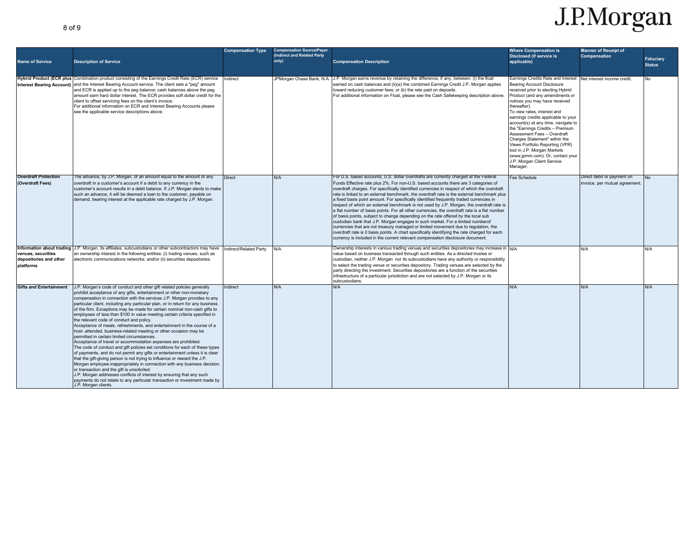| <b>Name of Service</b>                                    | <b>Description of Service</b>                                                                                                                                                                                                                                                                                                                                                                                                                                                                                                                                                                                                                                                                                                                                                                                                                                                                                                                                                                                                                                                                                                                                                                                                                                                                                                                   | <b>Compensation Type</b> | <b>Compensation Source/Payer</b><br>(Indirect and Related Party<br>only) | <b>Compensation Description</b>                                                                                                                                                                                                                                                                                                                                                                                                                                                                                                                                                                                                                                                                                                                                                                                                                                                                                                                                                                                                                                                                                 | <b>Where Compensation is</b><br><b>Disclosed (if service is</b><br>applicable)                                                                                                                                                                                                                                                                                                                                                                                                                                                                           | <b>Manner of Receipt of</b><br><b>Compensation</b>          | <b>Fiduciary</b> |
|-----------------------------------------------------------|-------------------------------------------------------------------------------------------------------------------------------------------------------------------------------------------------------------------------------------------------------------------------------------------------------------------------------------------------------------------------------------------------------------------------------------------------------------------------------------------------------------------------------------------------------------------------------------------------------------------------------------------------------------------------------------------------------------------------------------------------------------------------------------------------------------------------------------------------------------------------------------------------------------------------------------------------------------------------------------------------------------------------------------------------------------------------------------------------------------------------------------------------------------------------------------------------------------------------------------------------------------------------------------------------------------------------------------------------|--------------------------|--------------------------------------------------------------------------|-----------------------------------------------------------------------------------------------------------------------------------------------------------------------------------------------------------------------------------------------------------------------------------------------------------------------------------------------------------------------------------------------------------------------------------------------------------------------------------------------------------------------------------------------------------------------------------------------------------------------------------------------------------------------------------------------------------------------------------------------------------------------------------------------------------------------------------------------------------------------------------------------------------------------------------------------------------------------------------------------------------------------------------------------------------------------------------------------------------------|----------------------------------------------------------------------------------------------------------------------------------------------------------------------------------------------------------------------------------------------------------------------------------------------------------------------------------------------------------------------------------------------------------------------------------------------------------------------------------------------------------------------------------------------------------|-------------------------------------------------------------|------------------|
|                                                           |                                                                                                                                                                                                                                                                                                                                                                                                                                                                                                                                                                                                                                                                                                                                                                                                                                                                                                                                                                                                                                                                                                                                                                                                                                                                                                                                                 |                          |                                                                          |                                                                                                                                                                                                                                                                                                                                                                                                                                                                                                                                                                                                                                                                                                                                                                                                                                                                                                                                                                                                                                                                                                                 |                                                                                                                                                                                                                                                                                                                                                                                                                                                                                                                                                          |                                                             | <b>Status</b>    |
|                                                           | Hybrid Product (ECR plus Combination product consisting of the Earnings Credit Rate (ECR) service<br>Interest Bearing Account) and the Interest Bearing Account service. The client sets a "peg" amount<br>and ECR is applied up to the peg balance; cash balances above the peg<br>amount earn hard dollar interest. The ECR provides soft dollar credit for the<br>client to offset servicing fees on the client's invoice.<br>For additional information on ECR and Interest Bearing Accounts please<br>see the applicable service descriptions above.                                                                                                                                                                                                                                                                                                                                                                                                                                                                                                                                                                                                                                                                                                                                                                                       | Indirect                 | JPMorgan Chase Bank, N.A.                                                | J.P. Morgan earns revenue by retaining the difference, if any, between: (i) the float<br>earned on cash balances and (ii)(a) the combined Earnings Credit J.P. Morgan applies<br>toward reducing customer fees; or (b) the rate paid on deposits.<br>For additional information on Float, please see the Cash Safekeeping description above.                                                                                                                                                                                                                                                                                                                                                                                                                                                                                                                                                                                                                                                                                                                                                                    | Earnings Credits Rate and Interest<br>Bearing Account Disclosure<br>received prior to electing Hybrid<br>Product (and any amendments or<br>notices you may have received<br>thereafter).<br>To view rates, interest and<br>earnings credits applicable to your<br>account(s) at any time, navigate to<br>the "Earnings Credits - Premium<br>Assessment Fees - Overdraft<br>Charges Statement" within the<br>Views Portfolio Reporting (VPR)<br>tool in J.P. Morgan Markets<br>(www.jpmm.com). Or, contact your<br>J.P. Morgan Client Service<br>Manager. | Net interest income credit.                                 | <b>No</b>        |
| <b>Overdraft Protection</b><br>(Overdraft Fees)           | The advance, by J.P. Morgan, of an amount equal to the amount of any<br>overdraft in a customer's account if a debit to any currency in the<br>customer's account results in a debit balance. If J.P. Morgan elects to make<br>such an advance, it will be deemed a loan to the customer, payable on<br>demand, bearing interest at the applicable rate charged by J.P. Morgan.                                                                                                                                                                                                                                                                                                                                                                                                                                                                                                                                                                                                                                                                                                                                                                                                                                                                                                                                                                 | <b>Direct</b>            | N/A                                                                      | For U.S. based accounts, U.S. dollar overdrafts are currently charged at the Federal<br>Funds Effective rate plus 2%. For non-U.S. based accounts there are 3 categories of<br>overdraft charges. For specifically identified currencies in respect of which the overdraft<br>rate is linked to an external benchmark, the overdraft rate is the external benchmark plus<br>a fixed basis point amount. For specifically identified frequently traded currencies in<br>respect of which an external benchmark is not used by J.P. Morgan, the overdraft rate is<br>a flat number of basis points. For all other currencies, the overdraft rate is a flat number<br>of basis points, subject to change depending on the rate offered by the local sub<br>custodian bank that J.P. Morgan engages in such market. For a limited numberof<br>currencies that are not treasury managed or limited movement due to regulation, the<br>overdraft rate is 0 basis points. A chart specifically identifying the rate charged for each<br>currency is included in the current relevant compensation disclosure document. | Fee Schedule                                                                                                                                                                                                                                                                                                                                                                                                                                                                                                                                             | Direct debit or payment on<br>invoice, per mutual agreement | <b>No</b>        |
| venues, securities<br>depositories and other<br>platforms | Information about trading J.P. Morgan, its affiliates, subcustodians or other subcontractors may have<br>an ownership interest in the following entities: (i) trading venues, such as<br>electronic communications networks; and/or (ii) securities depositories.                                                                                                                                                                                                                                                                                                                                                                                                                                                                                                                                                                                                                                                                                                                                                                                                                                                                                                                                                                                                                                                                               | Indirect/Related Party   | N/A                                                                      | Ownership interests in various trading venues and securities depositories may increase in N/A<br>value based on business transacted through such entities. As a directed trustee or<br>custodian, neither J.P. Morgan nor its subcustodians have any authority or responsibility<br>to select the trading venue or securities depository. Trading venues are selected by the<br>party directing the investment. Securities depositories are a function of the securities<br>infrastructure of a particular jurisdiction and are not selected by J.P. Morgan or its<br>subcustodians                                                                                                                                                                                                                                                                                                                                                                                                                                                                                                                             |                                                                                                                                                                                                                                                                                                                                                                                                                                                                                                                                                          | N/A                                                         | N/A              |
| <b>Gifts and Entertainment</b>                            | J.P. Morgan's code of conduct and other gift related policies generally<br>prohibit acceptance of any gifts, entertainment or other non-monetary<br>compensation in connection with the services J.P. Morgan provides to any<br>particular client, including any particular plan, or in return for any business<br>of the firm. Exceptions may be made for certain nominal non-cash gifts to<br>employees of less than \$100 in value meeting certain criteria specified in<br>the relevant code of conduct and policy.<br>Acceptance of meals, refreshments, and entertainment in the course of a<br>host- attended, business-related meeting or other occasion may be<br>permitted in certain limited circumstances.<br>Acceptance of travel or accommodation expenses are prohibited.<br>The code of conduct and gift policies set conditions for each of these types<br>of payments, and do not permit any gifts or entertainment unless it is clear<br>that the gift-giving person is not trying to influence or reward the J.P.<br>Morgan employee inappropriately in connection with any business decision<br>or transaction and the gift is unsolicited.<br>J.P. Morgan addresses conflicts of interest by ensuring that any such<br>payments do not relate to any particular transaction or investment made by<br>J.P. Morgan clients. | Indirect                 | N/A                                                                      | N/A                                                                                                                                                                                                                                                                                                                                                                                                                                                                                                                                                                                                                                                                                                                                                                                                                                                                                                                                                                                                                                                                                                             | N/A                                                                                                                                                                                                                                                                                                                                                                                                                                                                                                                                                      | N/A                                                         | N/A              |